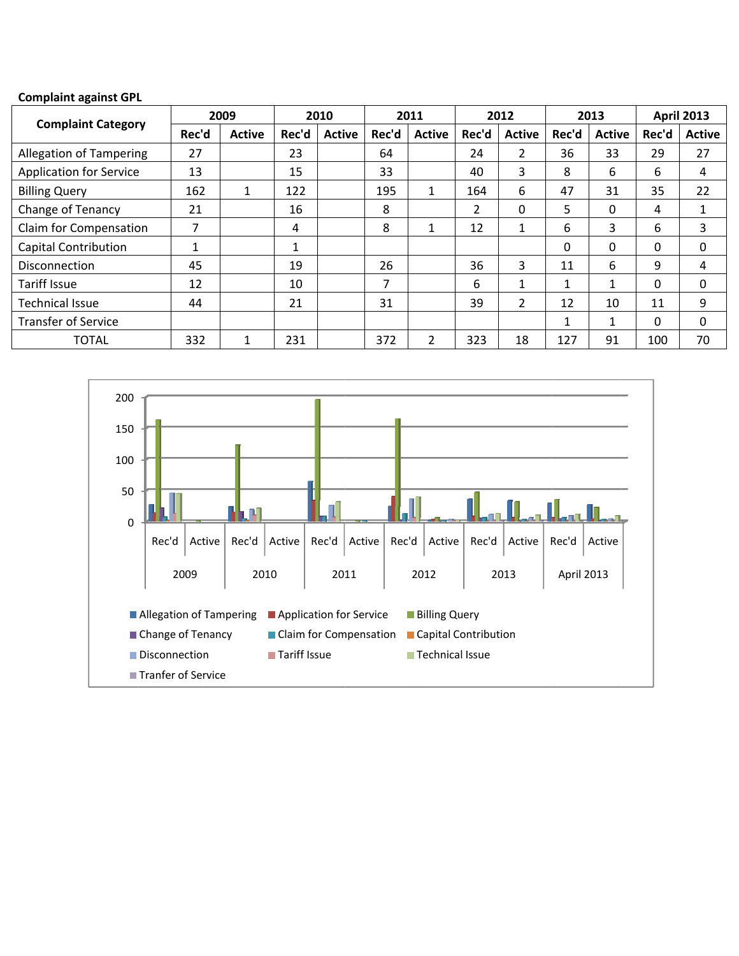## **Complain nt against GPL**

| <b>Complaint against GPL</b>   |       |               |       |               |       |               |       |                |       |               |                   |               |
|--------------------------------|-------|---------------|-------|---------------|-------|---------------|-------|----------------|-------|---------------|-------------------|---------------|
| <b>Complaint Category</b>      | 2009  |               | 2010  |               | 2011  |               | 2012  |                | 2013  |               | <b>April 2013</b> |               |
|                                | Rec'd | <b>Active</b> | Rec'd | <b>Active</b> | Rec'd | <b>Active</b> | Rec'd | <b>Active</b>  | Rec'd | <b>Active</b> | Rec'd             | <b>Active</b> |
| <b>Allegation of Tampering</b> | 27    |               | 23    |               | 64    |               | 24    | $\overline{2}$ | 36    | 33            | 29                | 27            |
| <b>Application for Service</b> | 13    |               | 15    |               | 33    |               | 40    | 3              | 8     | 6             | 6                 | 4             |
| <b>Billing Query</b>           | 162   | $\mathbf{1}$  | 122   |               | 195   | $\mathbf{1}$  | 164   | 6              | 47    | 31            | 35                | 22            |
| Change of Tenancy              | 21    |               | 16    |               | 8     |               | 2     | 0              | 5.    | $\Omega$      | 4                 | 1             |
| Claim for Compensation         |       |               | 4     |               | 8     | 1             | 12    | 1              | 6     | 3             | 6                 | 3             |
| <b>Capital Contribution</b>    |       |               | 1     |               |       |               |       |                | 0     | $\Omega$      | 0                 | 0             |
| <b>Disconnection</b>           | 45    |               | 19    |               | 26    |               | 36    | 3              | 11    | 6             | 9                 | 4             |
| <b>Tariff Issue</b>            | 12    |               | 10    |               | 7     |               | 6     | $\mathbf{1}$   |       | $\mathbf{1}$  | 0                 | 0             |
| <b>Technical Issue</b>         | 44    |               | 21    |               | 31    |               | 39    | 2              | 12    | 10            | 11                | 9             |
| <b>Transfer of Service</b>     |       |               |       |               |       |               |       |                | 1     | $\mathbf{1}$  | 0                 | 0             |
| <b>TOTAL</b>                   | 332   | 1             | 231   |               | 372   | 2             | 323   | 18             | 127   | 91            | 100               | 70            |

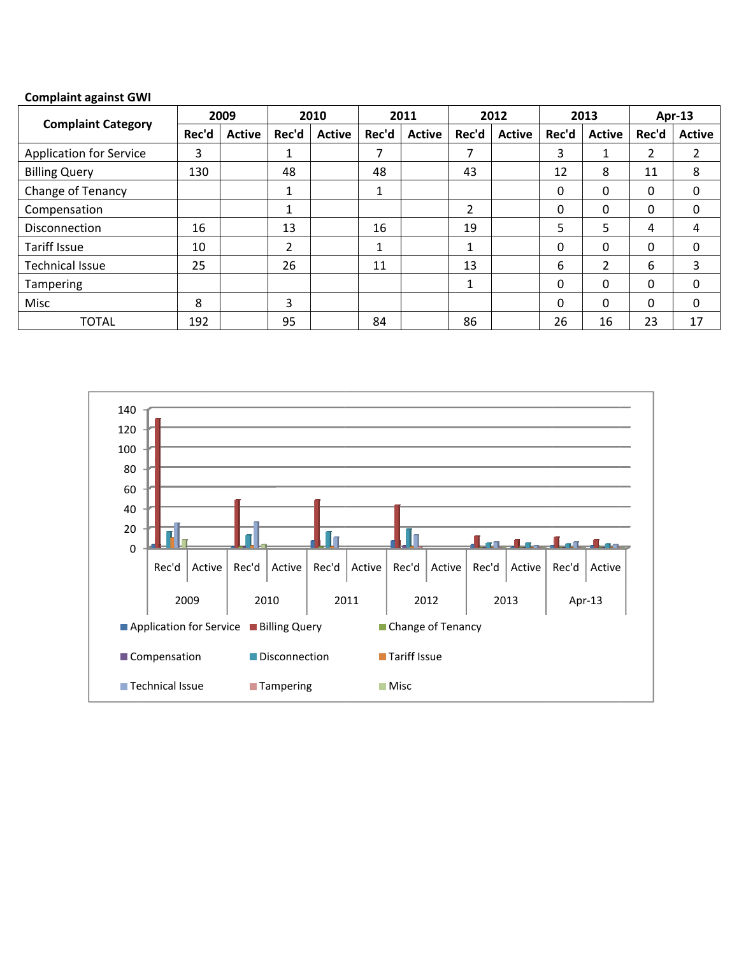## **Complaint against GWI**

| <b>Complaint Category</b>      |       | 2009          |       | 2010          |       | 2011          |       | 2012          |          | 2013   |          | $Apr-13$      |
|--------------------------------|-------|---------------|-------|---------------|-------|---------------|-------|---------------|----------|--------|----------|---------------|
|                                | Rec'd | <b>Active</b> | Rec'd | <b>Active</b> | Rec'd | <b>Active</b> | Rec'd | <b>Active</b> | Rec'd    | Active | Rec'd    | <b>Active</b> |
| <b>Application for Service</b> | 3     |               |       |               | 7     |               | ⇁     |               | 3        | 1      | 2        |               |
| <b>Billing Query</b>           | 130   |               | 48    |               | 48    |               | 43    |               | 12       | 8      | 11       | 8             |
| <b>Change of Tenancy</b>       |       |               |       |               | 1     |               |       |               | 0        | 0      | 0        | 0             |
| Compensation                   |       |               |       |               |       |               | 2     |               | 0        | 0      | 0        | 0             |
| <b>Disconnection</b>           | 16    |               | 13    |               | 16    |               | 19    |               | 5        | 5      | 4        | 4             |
| <b>Tariff Issue</b>            | 10    |               | 2     |               | 1     |               | 1     |               | 0        | 0      | 0        | 0             |
| <b>Technical Issue</b>         | 25    |               | 26    |               | 11    |               | 13    |               | 6        | າ      | 6        | 3             |
| <b>Tampering</b>               |       |               |       |               |       |               | 1     |               | $\Omega$ | 0      | 0        | 0             |
| Misc                           | 8     |               | 3     |               |       |               |       |               | $\Omega$ | 0      | $\Omega$ | 0             |
| <b>TOTAL</b>                   | 192   |               | 95    |               | 84    |               | 86    |               | 26       | 16     | 23       | 17            |

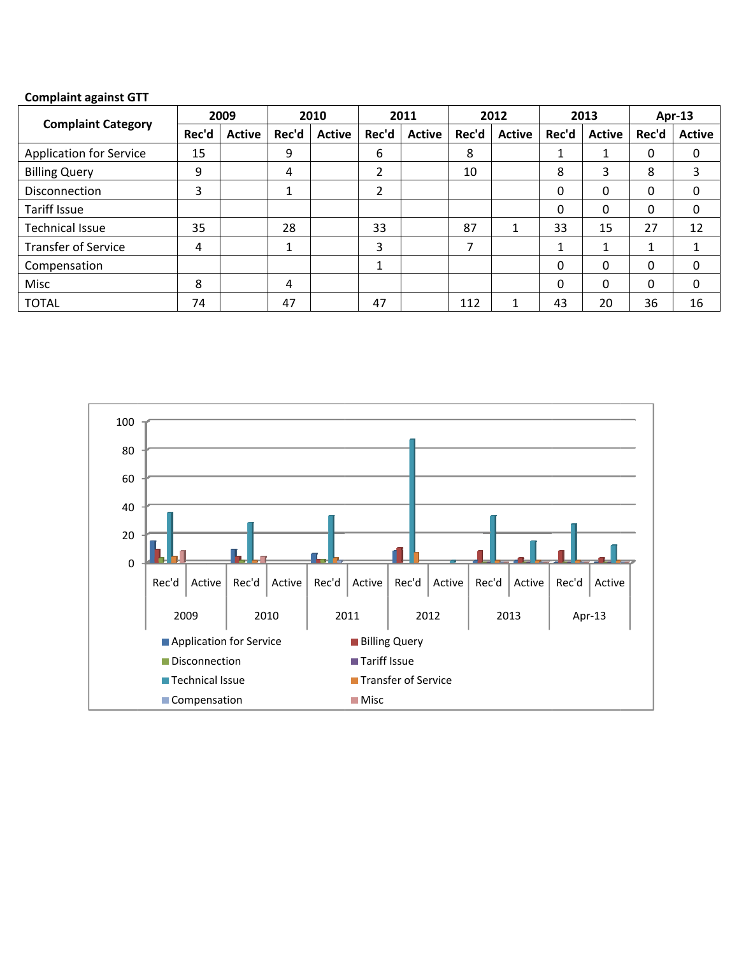## **Complaint against GTT**

| <b>Complaint Category</b>      | 2009  |               | 2010  |               | 2011           |               | 2012  |               | 2013     |               | $Apr-13$ |               |
|--------------------------------|-------|---------------|-------|---------------|----------------|---------------|-------|---------------|----------|---------------|----------|---------------|
|                                | Rec'd | <b>Active</b> | Rec'd | <b>Active</b> | Rec'd          | <b>Active</b> | Rec'd | <b>Active</b> | Rec'd    | <b>Active</b> | Rec'd    | <b>Active</b> |
| <b>Application for Service</b> | 15    |               | 9     |               | 6              |               | 8     |               | 1        | 1             | 0        | 0             |
| <b>Billing Query</b>           | 9     |               | 4     |               | $\overline{2}$ |               | 10    |               | 8        | 3             | 8        | 3             |
| <b>Disconnection</b>           | 3     |               |       |               | 2              |               |       |               | 0        | 0             | 0        | 0             |
| <b>Tariff Issue</b>            |       |               |       |               |                |               |       |               | $\Omega$ | 0             | 0        | 0             |
| Technical Issue                | 35    |               | 28    |               | 33             |               | 87    |               | 33       | 15            | 27       | 12            |
| <b>Transfer of Service</b>     | 4     |               |       |               | 3              |               | ℸ     |               | 1        | 1             |          |               |
| Compensation                   |       |               |       |               | 1              |               |       |               | 0        | 0             | 0        | 0             |
| Misc                           | 8     |               | 4     |               |                |               |       |               | $\Omega$ | 0             | 0        | 0             |
| <b>TOTAL</b>                   | 74    |               | 47    |               | 47             |               | 112   |               | 43       | 20            | 36       | 16            |

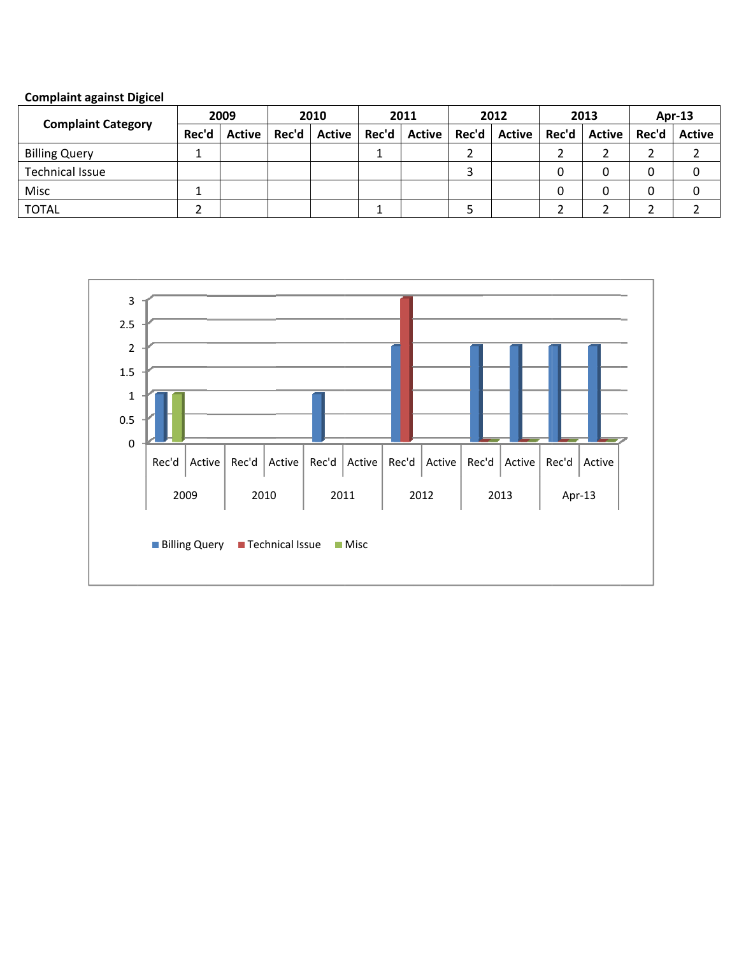|  | <b>Complaint against Digicel</b> |  |
|--|----------------------------------|--|
|  |                                  |  |

| <b>Complaint Category</b> | 2009  |               | 2010  |               | 2011 |                        | 2012 |                | 2013 |        | $Apr-13$ |        |
|---------------------------|-------|---------------|-------|---------------|------|------------------------|------|----------------|------|--------|----------|--------|
|                           | Rec'd | <b>Active</b> | Rec'd | <b>Active</b> |      | Rec'd   Active   Rec'd |      | Active   Rec'd |      | Active | Rec'd    | Active |
| <b>Billing Query</b>      |       |               |       |               |      |                        |      |                |      |        |          |        |
| Technical Issue           |       |               |       |               |      |                        |      |                | 0    | 0      |          |        |
| Misc                      |       |               |       |               |      |                        |      |                | 0    | 0      |          |        |
| <b>TOTAL</b>              |       |               |       |               |      |                        |      |                |      |        |          |        |